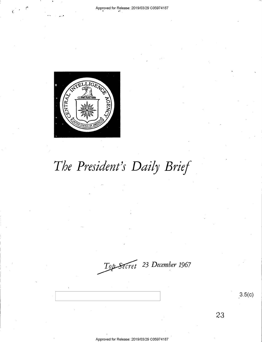

The President's Daily Brief

~ *23 December 1967* 

 $3.5(c)$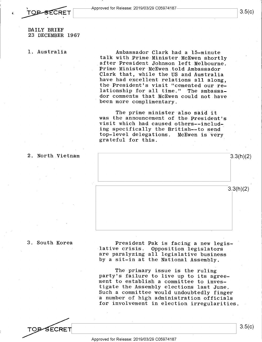':,..~,.., ~ Approved for Release: 2019/03/29 C05974187----------~I Approved for Release: 2019/03/29 C05974187<br> **TOB SECRET** Approved for Release: 2019/03/29 C05974187

DAILY BRIEF 23 DECEMBER 1967

1. Australia

Ambassador Clark had a 15-minute talk with Prime Minister McEwen shortly . after President Johnson left Melbourne. Prime Minister McEwen told Ambassador Clark that, while the US and Australia have had excellent relations all along, the President's visit "cemented our relationship for all time." The ambassador comments that McEwen could not have been more complimentary.

The prime minister also said it was the announcement of the President's visit which had caused others--including specifically the British--to send· top-level delegations. McEwen is very grateful for this.



#### 3. South Korea

TOB

2. North Vietnam

President Pak is facing a new legislative crisis. Opposition legislators are paralyzing all legislative business by a sit-in at the National Assembly.

The primary issue is the ruling party's failure to live up to its agreement to establish a committee to investigate the Assembly elections last June. Such a committee would undoubtedly finger a number of high administration officials for involvement in election irregularities.

SECRET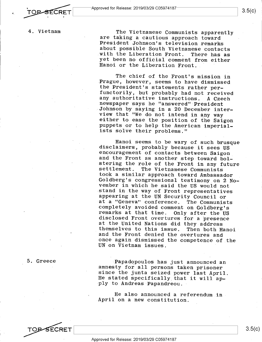4. Vietnam

The Vietnamese Communists apparently are taking a cautious approach toward President Johnson's television remarks about possible South Vietnamese contacts with the Liberation Front. There has as yet been no official comment from either Hanoi or the Liberation Front.

The chief of the Front's mission in Prague, however, seems to have dismissed the President's statements rather perfunctorily, but probably had not received any authoritative instructions. A Czech newspaper says he "answered"·President .Johnson by saying in a 20 December interview that "We do not intend in any way either to ease the position of the Saigon puppets or to help the American imperialists solve their problems."

Hanoi seems to be wary of such brusque disclaimers, probably because it sees US encouragement of contacts between Saigon and the Front as another step toward bolstering the role of the Front in any future<br>settlement. The Vietnamese Communists The Vietnamese Communists took a similar approach toward Ambassador Goldberg's congressional testimony on 2 November in which he said the US would not stand in the way of Front representatives appearing at the UN Security Council or at a "Geneva" conference. The Communists completely avoided comment on Goldberg's remarks at that time. Only after the US disclosed Front overtures for a presence at the United Nations did they address themselves to this issue. Then both Hanoi and the Front denied the overtures and once again dismissed the competence of the UN on Vietnam issues.

5. Greece

Papadopoulos has just announced an amnesty for all persons taken prisoner since the junta seized power last April. He stated specifically that it will ap<sup>p</sup>ly to Andreas Papandreou.

He also announced a referendum in April on a new constitution.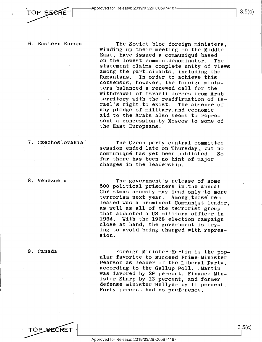TOP SECRET 3.5(c)

 $\ddotsc$ 

6. Eastern Europe

The Soviet bloc foreign ministers, winding up their meeting on the Middle East, have issued a communique based on the lowest common denominator. The statement claims complete unity of views among the participants, including the Rumanians. In order to achieve this consensus, however, the foreign ministers balanced a renewed call for the withdrawal of Israeli forces from Arab territory with the reaffirmation of Israel's right to exist. The absence of any pledge of military.and economic aid.to the Arabs also seems to represent a concession by Moscow to some of the East Europeans.

7. Czechoslovakia

The Czech party central committee session ended late on Thursday, but no communique has yet been published. So far there has been no hint of major changes in the leadership.

8. Venezuela

9. Canada

The government's release of some 500 political prisoners in.the annual Christmas amnesty may lead only to more terrorism next year. Among those re-, leased was a prominent Communist leader. as well as all of the terrorist group that abducted a US military officer in 1964. With the 1968 election campaign close at hand, the government is trying to avoid being charged with repression.

Foreign Minister Martin is the popular favorite to succeed Prime Minister Pearson as leader of the Liberal Party, according to the Gallup Poll. Martin was favored by 29 percent, Finance Minister Sharp by 13 percent, and former defense minister Hellyer by 11 percent. Forty percent had no preference.



3.5(c)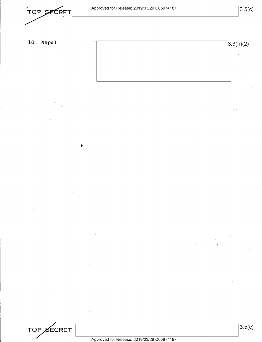

**10. Nepal 3.3(h)(2)** 

TOP SECRET

Approved for Release: 2019/03/29 C0597 4187

**3.5(c)** 

 $\bigl($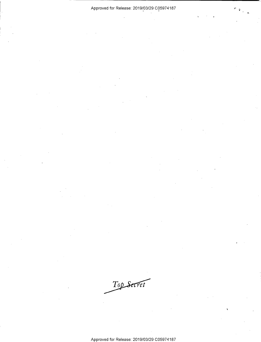## Approved for Release: 2019/03/29 C05974187

Top Secret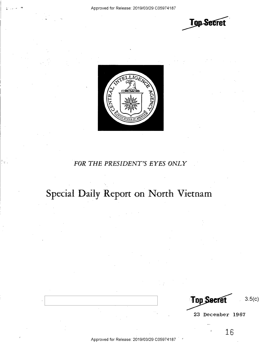$Top-Secret$ 



## *FDR THE PRESIDENT'S EYES ONLY*

# Special Daily Report on North Vietnam

**Top Secret** 3.5(c)

23 December 1967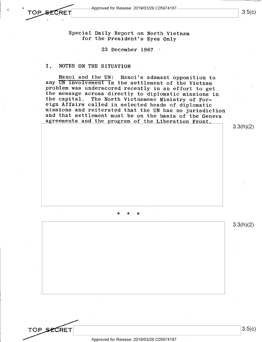TOP SECRET

Special Daily Report on North Vietnam for the President's Eyes Only

23 December 1967

### I. NOTES ON THE SITUATION

Hanoi and the UN: Hanoi's adamant opposition to any UN involvement in the settlement of the Vietnam problem was underscored recently in an effort to get the message across directly to diplomatic missions in the capital. The North Vietnamese Ministry of For-The North Vietnamese Ministry of Foreign Affairs called in selected heads of diplomatic missions and reiterated that the UN has no jurisdiction and that settlement must be on the basis of the Geneva agreements and the program of the Liberation Front.

3.3(h)(2)

3.3(h)(2)

\* \* \*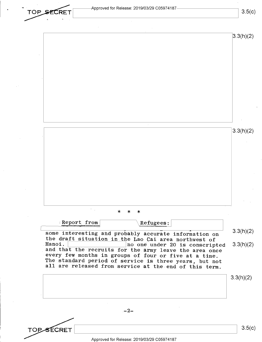$\hat{\mathcal{A}}$ 

.• **T(").p** ~ ---Approved for Release: 2019/03/29 C05974187---------~ TOP SECRET Approved for Release: 2019/03/29 C05974187 3.5(c)

 $\chi$  .

 $\hat{\mathcal{A}}$ 

 $\mathcal{A}$ 

|                                                                                                                  | 3.3(h)(2) |
|------------------------------------------------------------------------------------------------------------------|-----------|
|                                                                                                                  |           |
|                                                                                                                  |           |
|                                                                                                                  |           |
|                                                                                                                  |           |
|                                                                                                                  |           |
|                                                                                                                  |           |
|                                                                                                                  |           |
|                                                                                                                  |           |
|                                                                                                                  |           |
|                                                                                                                  | 3.3(h)(2) |
|                                                                                                                  |           |
|                                                                                                                  |           |
|                                                                                                                  |           |
|                                                                                                                  |           |
|                                                                                                                  |           |
|                                                                                                                  |           |
|                                                                                                                  |           |
| $\ast$<br>$\ast$<br>$\ast$                                                                                       |           |
| Report from<br>Refugees:                                                                                         |           |
| some interesting and probably accurate information on                                                            | 3.3(h)(2) |
| the draft situation in the Lao Cai area northwest of<br>Hanoi.<br>no one under 20 is conscripted                 | 3.3(h)(2) |
|                                                                                                                  |           |
| and that the recruits for the army leave the area once                                                           |           |
| every few months in groups of four or five at a time.                                                            |           |
| The standard period of service is three years, but not<br>all are released from service at the end of this term. |           |
|                                                                                                                  |           |
|                                                                                                                  |           |
|                                                                                                                  |           |
|                                                                                                                  | 3.3(h)(2) |
| $-2-$                                                                                                            |           |
| <b>TOP SECRET</b>                                                                                                | 3.5(c)    |

Approved for Release: 2019/03/29 C0597 4187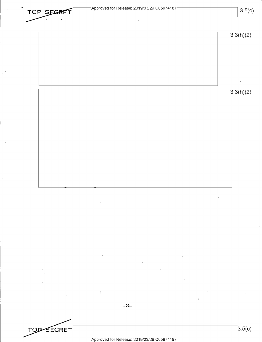

 $\blacksquare$ 

I